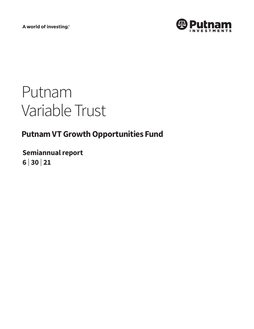A world of investing®



# Putnam Variable Trust

# **Putnam VT Growth Opportunities Fund**

**Semiannual report 6 <sup>|</sup> 30 <sup>|</sup> 21**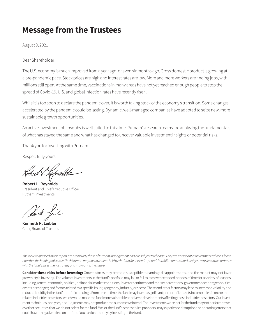# **Message from the Trustees**

August 9, 2021

Dear Shareholder:

The U.S. economy is much improved from a year ago, or even six months ago. Gross domestic product is growing at a pre-pandemic pace. Stock prices are high and interest rates are low. More and more workers are finding jobs, with millions still open. At the same time, vaccinations in many areas have not yet reached enough people to stop the spread of Covid-19. U.S. and global infection rates have recently risen.

While it is too soon to declare the pandemic over, it is worth taking stock of the economy's transition. Some changes accelerated by the pandemic could be lasting. Dynamic, well-managed companies have adapted to seize new, more sustainable growth opportunities.

An active investment philosophy is well suited to this time. Putnam's research teams are analyzing the fundamentals of what has stayed the same and what has changed to uncover valuable investment insights or potential risks.

Thank you for investing with Putnam.

Respectfully yours,

**Robert L. Reynolds** President and Chief Executive Officer Putnam Investments

**Kenneth R. Leibler** Chair, Board of Trustees

*The views expressed in this report are exclusively those of Putnam Management and are subject to change. They are not meant as investment advice. Please note that the holdings discussed in this report may not have been held by the fund for the entire period. Portfolio composition is subject to review in accordance with the fund's investment strategy and may vary in the future.*

**Consider these risks before investing:** Growth stocks may be more susceptible to earnings disappointments, and the market may not favor growth-style investing. The value of investments in the fund's portfolio may fall or fail to rise over extended periods of time for a variety of reasons, including general economic, political, or financial market conditions; investor sentiment and market perceptions; government actions; geopolitical events or changes; and factors related to a specific issuer, geography, industry, or sector. These and other factors may lead to increased volatility and reduced liquidity in the fund's portfolio holdings. From time to time, the fund may invest a significant portion of its assets in companies in one or more related industries or sectors, which would make the fund more vulnerable to adverse developments affecting those industries or sectors. Our investment techniques, analyses, and judgments may not produce the outcome we intend. The investments we select for the fund may not perform as well as other securities that we do not select for the fund. We, or the fund's other service providers, may experience disruptions or operating errors that could have a negative effect on the fund. You can lose money by investing in the fund.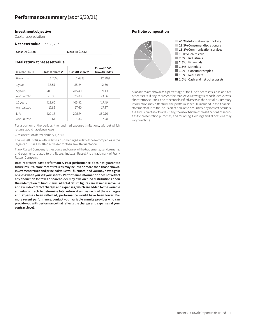#### **Investment objective**

Capital appreciation

**Net asset value** June 30, 2021

| Class IA: \$15.00 |  |
|-------------------|--|
|-------------------|--|

#### **Total return at net asset value**

| (as of 6/30/21) | Class IA shares* | Class IB shares* | Russell 1000<br><b>Growth Index</b> |
|-----------------|------------------|------------------|-------------------------------------|
| 6 months        | 11.75%           | 11.63%           | 12.99%                              |
| 1 year          | 35.57            | 35.24            | 42.50                               |
| 5 years         | 209.18           | 205.49           | 189.13                              |
| Annualized      | 25.33            | 25.03            | 23.66                               |
| 10 years        | 418.60           | 405.92           | 417.49                              |
| Annualized      | 17.89            | 17.60            | 17.87                               |
| l ife           | 222.18           | 205.74           | 350.76                              |
| Annualized      | 5.61             | 5.36             | 7.28                                |

**Class IA: \$15.00 Class IB: \$14.58**

For a portion of the periods, the fund had expense limitations, without which returns would have been lower.

\*Class inception date: February 1, 2000.

The Russell 1000 Growth Index is an unmanaged index of those companies in the large-cap Russell 1000 Index chosen for their growth orientation.

Frank Russell Company is the source and owner of the trademarks, service marks, and copyrights related to the Russell Indexes. Russell® is a trademark of Frank Russell Company.

**Data represent past performance. Past performance does not guarantee future results. More recent returns may be less or more than those shown. Investment return and principal value will fluctuate, and you may have a gain or a loss when you sell your shares. Performance information does not reflect any deduction for taxes a shareholder may owe on fund distributions or on the redemption of fund shares. All total return figures are at net asset value and exclude contract charges and expenses, which are added to the variable annuity contracts to determine total return at unit value. Had these charges and expenses been reflected, performance would have been lower. For more recent performance, contact your variable annuity provider who can provide you with performance that reflects the charges and expenses at your contract level.**

#### **Portfolio composition**



Allocations are shown as a percentage of the fund's net assets. Cash and net other assets, if any, represent the market value weights of cash, derivatives, short-term securities, and other unclassified assets in the portfolio. Summary information may differ from the portfolio schedule included in the financial statements due to the inclusion of derivative securities, any interest accruals, the exclusion of as-of trades, if any, the use of different classifications of securities for presentation purposes, and rounding. Holdings and allocations may vary over time.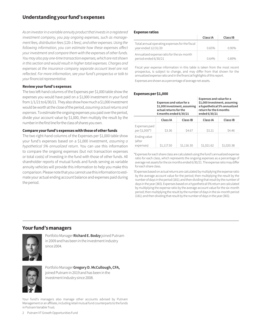# **Understanding your fund's expenses**

*As an investor in a variable annuity product that invests in a registered investment company, you pay ongoing expenses, such as management fees, distribution fees (12b-1 fees), and other expenses. Using the following information, you can estimate how these expenses affect your investment and compare them with the expenses of other funds. You may also pay one-time transaction expenses, which are not shown in this section and would result in higher total expenses. Charges and expenses at the insurance company separate account level are not reflected. For more information, see your fund's prospectus or talk to your financial representative.*

#### **Review your fund's expenses**

The two left-hand columns of the Expenses per \$1,000 table show the expenses you would have paid on a \$1,000 investment in your fund from 1/1/21 to 6/30/21. They also show how much a \$1,000 investment would be worth at the close of the period, *assuming actual returns and expenses*. To estimate the ongoing expenses you paid over the period, divide your account value by \$1,000, then multiply the result by the number in the first line for the class of shares you own.

#### **Compare your fund's expenses with those of other funds**

The two right-hand columns of the Expenses per \$1,000 table show your fund's expenses based on a \$1,000 investment, *assuming a hypothetical 5% annualized return*. You can use this information to compare the ongoing expenses (but not transaction expenses or total costs) of investing in the fund with those of other funds. All shareholder reports of mutual funds and funds serving as variable annuity vehicles will provide this information to help you make this comparison. Please note that you cannot use this information to estimate your actual ending account balance and expenses paid during the period.

#### **Expense ratios**

|                                                                       | Class IA | Class IB |
|-----------------------------------------------------------------------|----------|----------|
| Total annual operating expenses for the fiscal<br>year ended 12/31/20 | 0.65%    | 0 ዓበ%    |
| Annualized expense ratio for the six-month<br>period ended 6/30/21    | $0.64\%$ | 0.89%    |

Fiscal year expense information in this table is taken from the most recent prospectus, is subject to change, and may differ from that shown for the annualized expense ratio and in the financial highlights of this report.

Expenses are shown as a percentage of average net assets.

#### **Expenses per \$1,000**

|                                     | Expenses and value for a<br>\$1,000 investment, assuming<br>actual returns for the<br>6 months ended 6/30/21 |            | Expenses and value for a<br>return for the 6 months<br>ended 6/30/21 | \$1,000 investment, assuming<br>a hypothetical 5% annualized |
|-------------------------------------|--------------------------------------------------------------------------------------------------------------|------------|----------------------------------------------------------------------|--------------------------------------------------------------|
|                                     | Class IA                                                                                                     | Class IB   | Class IA                                                             | Class IB                                                     |
| Expenses paid<br>per \$1,000*†      | \$3.36                                                                                                       | \$4.67     | \$3.21                                                               | \$4.46                                                       |
| Ending value<br>(after<br>expenses) | \$1,117.50                                                                                                   | \$1,116.30 | \$1,021.62                                                           | \$1,020.38                                                   |

\*Expenses for each share class are calculated using the fund's annualized expense ratio for each class, which represents the ongoing expenses as a percentage of average net assets for the six months ended 6/30/21. The expense ratio may differ for each share class.

†Expenses based on actual returns are calculated by multiplying the expense ratio by the average account value for the period; then multiplying the result by the number of days in the period (181); and then dividing that result by the number of days in the year (365). Expenses based on a hypothetical 5% return are calculated by multiplying the expense ratio by the average account value for the six-month period; then multiplying the result by the number of days in the six-month period (181); and then dividing that result by the number of days in the year (365).

# **Your fund's managers**



Portfolio Manager **Richard E. Bodzy** joined Putnam in 2009 and has been in the investment industry since 2004.



Portfolio Manager **Gregory D. McCullough, CFA,** joined Putnam in 2019 and has been in the investment industry since 2008.

Your fund's managers also manage other accounts advised by Putnam Management or an affiliate, including retail mutual fund counterparts to the funds in Putnam Variable Trust.

2 Putnam VT Growth Opportunities Fund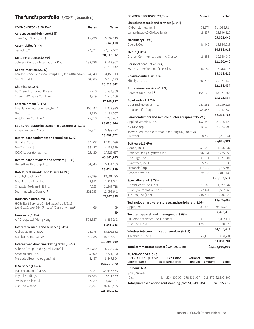# **The fund's portfolio** 6/30/21 (Unaudited)

| COMMON STOCKS (98.7%)*                                         | <b>Shares</b> | Value       |
|----------------------------------------------------------------|---------------|-------------|
| Aerospace and defense (0.8%)                                   |               |             |
| TransDigm Group, Inc. †                                        | 15,236        | \$9,862,110 |
| Automobiles (1.7%)                                             |               | 9,862,110   |
| Tesla, Inc. †                                                  | 29,892        | 20,317,592  |
|                                                                |               | 20,317,592  |
| Building products (0.8%)<br>Johnson Controls International PLC | 138,626       | 9,513,902   |
|                                                                |               | 9,513,902   |
| Capital markets (2.0%)                                         |               |             |
| London Stock Exchange Group PLC (United Kingdom)               | 74,048        | 8,163,719   |
| S&P Global, Inc.                                               | 38,385        | 15,755,123  |
| Chemicals (1.5%)                                               |               | 23,918,842  |
| LG Chem, Ltd. (South Korea)                                    | 7,418         | 5,598,988   |
| Sherwin-Williams Co. (The)                                     | 42,379        | 11,546,159  |
| Entertainment (2.4%)                                           |               | 17,145,147  |
| Live Nation Entertainment, Inc. 1                              | 150,747       | 13,203,930  |
| Netflix, Inc. †                                                | 4,130         | 2,181,507   |
| Walt Disney Co. (The) $\dagger$                                | 75,658        | 13,298,407  |
| Equity real estate investment trusts (REITs) (1.3%)            |               | 28,683,844  |
| American Tower Corp. R                                         | 57,372        | 15,498,472  |
|                                                                |               | 15,498,472  |
| Health-care equipment and supplies (4.2%)                      |               |             |
| Danaher Corp.                                                  | 64,708        | 17,365,039  |
| DexCom, Inc. †                                                 | 33,427        | 14,273,329  |
| IDEXX Laboratories, Inc. 1                                     | 27,430        | 17,323,417  |
| Health-care providers and services (1.3%)                      |               | 48,961,785  |
| UnitedHealth Group, Inc.                                       | 38,543        | 15,434,159  |
| Hotels, restaurants, and leisure (4.1%)                        |               | 15,434,159  |
| Airbnb, Inc. Class A†                                          | 85,489        | 13,091,785  |
| Booking Holdings, Inc. †                                       | 4,942         | 10,813,541  |
| Chipotle Mexican Grill, Inc. 1                                 | 7,553         | 11,709,718  |
| DraftKings, Inc. Class A   S                                   | 231,793       | 12,092,641  |
| Household durables $(-\%)$                                     |               | 47,707,685  |
| HC Brillant Services GmbH (acquired 8/2/13                     |               |             |
| to 8/31/16, cost \$44) (Private) (Germany) † ∆∆F               | 66            | 59          |
| Insurance (0.5%)                                               |               | 59          |
| AIA Group, Ltd. (Hong Kong)                                    | 504,337       | 6,268,243   |
|                                                                |               | 6,268,243   |
| Interactive media and services (9.4%)                          |               |             |
| Alphabet, Inc. Class C                                         | 25,975        | 65,101,662  |
| Facebook, Inc. Class A                                         | 131,438       | 45,702,307  |
| Internet and direct marketing retail (8.8%)                    |               | 110,803,969 |
| Alibaba Group Holding, Ltd. (China) †                          | 244,780       | 6,935,796   |
| Amazon.com, Inc. †                                             | 25,500        | 87,724,080  |
| MercadoLibre, Inc. (Argentina) †                               | 5,487         | 8,547,594   |
| IT Services (10.4%)                                            |               | 103,207,470 |
| Mastercard, Inc. Class A                                       | 92,981        | 33,946,433  |
| PayPal Holdings, Inc. †                                        | 146,533       | 42,711,439  |
| Twilio, Inc. Class A t                                         | 22,239        | 8,765,724   |
| Visa, Inc. Class A                                             | 155,797       | 36,428,455  |
|                                                                |               | 121,852,051 |

| COMMON STOCKS (98.7%)* cont.                                        | <b>Shares</b> | Value                |  |
|---------------------------------------------------------------------|---------------|----------------------|--|
| Life sciences tools and services (2.3%)                             |               |                      |  |
| IQVIA Holdings, Inc. †                                              | 58,174        | \$14,096,724         |  |
| Lonza Group AG (Switzerland)                                        | 18,337        | 12,996,925           |  |
|                                                                     |               | 27,093,649           |  |
| Machinery (1.4%)<br>Deere & Co.                                     | 46,942        | 16,556,913           |  |
|                                                                     |               | 16,556,913           |  |
| Media (1.0%)                                                        |               |                      |  |
| Charter Communications, Inc. Class A                                | 16,855        | 12,160,040           |  |
| Personal products (1.3%)                                            |               | 12,160,040           |  |
| Estee Lauder Cos., Inc. (The) Class A                               | 48,159        | 15,318,415           |  |
| Pharmaceuticals (1.9%)                                              |               | 15,318,415           |  |
| Eli Lilly and Co.                                                   | 96,512        | 22,151,434           |  |
|                                                                     |               | 22,151,434           |  |
| Professional services (1.2%)                                        |               |                      |  |
| CoStar Group, Inc. † S                                              | 168,122       | 13,923,864           |  |
| Road and rail (2.7%)                                                |               | 13,923,864           |  |
| Uber Technologies, Inc. 1                                           | 263,151       | 13,189,128           |  |
| Union Pacific Corp.                                                 | 86,585        | 19,042,639           |  |
| Semiconductors and semiconductor equipment (5.7%)                   |               | 32,231,767           |  |
| Applied Materials, Inc.                                             | 152,845       | 21,765,128           |  |
| NVIDIA Corp.                                                        | 46,023        | 36,823,002           |  |
| Taiwan Semiconductor Manufacturing Co., Ltd. ADR                    |               |                      |  |
| (Taiwan)                                                            | 68,758        | 8,261,961            |  |
| Software (16.4%)                                                    |               | 66,850,091           |  |
| Adobe, Inc. †                                                       | 53,542        | 31,356,337           |  |
| Cadence Design Systems, Inc. 1                                      | 96,661        | 13,225,158           |  |
| DocuSign, Inc. †                                                    | 41,571        | 11,622,004           |  |
| Dynatrace, Inc. †                                                   | 115,735       | 6,761,239            |  |
| Microsoft Corp.                                                     | 417,079       | 112,986,700          |  |
| ServiceNow, Inc. t                                                  | 29,135        | 16,011,139           |  |
| Specialty retail (3.7%)                                             |               | 191,962,577          |  |
| Home Depot, Inc. (The)                                              | 37,543        | 11,972,087           |  |
| O'Reilly Automotive, Inc. 1                                         | 27,441        | 15,537,369           |  |
| TJX Cos., Inc. (The)                                                | 246,764       | 16,636,829           |  |
|                                                                     |               | 44,146,285           |  |
| Technology hardware, storage, and peripherals (8.0%)<br>Apple, Inc. | 689,803       | 94,475,419           |  |
|                                                                     |               | 94,475,419           |  |
| Textiles, apparel, and luxury goods (3.0%)                          |               |                      |  |
| lululemon athletica, Inc. (Canada) †                                | 41,190        | 15,033,114           |  |
| Nike, Inc. Class B                                                  | 128,813       | 19,900,320           |  |
| Wireless telecommunication services (0.9%)                          |               | 34,933,434           |  |
| T-Mobile US, Inc. †                                                 | 76,170        | 11,031,701           |  |
|                                                                     |               | 11,031,701           |  |
| Total common stocks (cost \$524,393,229)                            |               | \$1,162,010,919      |  |
| <b>PURCHASED OPTIONS</b>                                            |               |                      |  |
| OUTSTANDING (0.3%)*<br>Expiration                                   | Notional      | Contract             |  |
| date/strike price<br>Counterparty                                   | amount        | Value<br>amount      |  |
| Citibank, N.A.                                                      |               |                      |  |
| S&P 500 Index                                                       |               |                      |  |
| (Call)<br>Jan-22/4350.00 \$78,436,937                               |               | \$18,276 \$2,995,206 |  |
| Total purchased options outstanding (cost \$1,549,805)              |               | \$2,995,206          |  |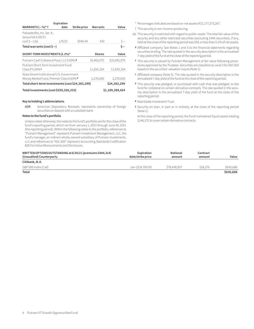|                                                      | Expiration |              |               |                 |
|------------------------------------------------------|------------|--------------|---------------|-----------------|
| WARRANTS $(-\%)^*$ †                                 | date       | Strike price | Warrants      | Value           |
| Palisade Bio, Inc. Ser. K.<br>(acquired 4/20/17,     |            |              |               |                 |
| $costS - \Delta$                                     | 1/9/22     | \$946.40     | 430           |                 |
| Total warrants (cost $\zeta$ –)                      |            |              |               |                 |
|                                                      |            |              |               |                 |
| SHORT-TERM INVESTMENTS (2.1%)*                       |            |              | <b>Shares</b> | Value           |
| Putnam Cash Collateral Pool, LLC 0.09% d             |            |              | 10,462,975    | \$10,462,975    |
| Putnam Short Term Investment Fund<br>$ClassP0.09\%L$ |            |              | 11,650,324    | 11,650,324      |
| State Street Institutional U.S. Government           |            |              |               |                 |
| Money Market Fund, Premier Class 0.03% P             |            |              | 2,270,000     | 2,270,000       |
| Total short-term investments (cost \$24,383,299)     |            |              |               | \$24,383,299    |
| Total investments (cost \$550,326,333)               |            |              |               | \$1,189,389,424 |

#### **Key to holding's abbreviations**

ADR American Depository Receipts: represents ownership of foreign securities on deposit with a custodian bank

#### **Notes to the fund's portfolio**

Unless noted otherwise, the notes to the fund's portfolio are for the close of the fund's reporting period, which ran from January 1, 2021 through June 30, 2021 (the reporting period). Within the following notes to the portfolio, references to "Putnam Management" represent Putnam Investment Management, LLC, the fund's manager, an indirect wholly-owned subsidiary of Putnam Investments, LLC and references to "ASC 820" represent Accounting Standards Codification 820 *Fair Value Measurements and Disclosures*.

\* Percentages indicated are based on net assets of \$1,177,373,267.

#### † This security is non-income-producing.

- ∆∆ This security is restricted with regard to public resale. The total fair value of this security and any other restricted securities (excluding 144A securities), if any, held at the close of the reporting period was \$59, or less than 0.1% of net assets.
- **<sup>d</sup>** Affiliated company. See Notes 1 and 5 to the financial statements regarding securities lending. The rate quoted in the security description is the annualized 7-day yield of the fund at the close of the reporting period.
- **<sup>F</sup>** This security is valued by Putnam Management at fair value following procedures approved by the Trustees. Securities are classified as Level 3 for ASC 820 based on the securities' valuation inputs (Note 1).
- **<sup>L</sup>** Affiliated company (Note 5). The rate quoted in the security description is the annualized 7-day yield of the fund at the close of the reporting period.
- **<sup>P</sup>** This security was pledged, or purchased with cash that was pledged, to the fund for collateral on certain derivative contracts. The rate quoted in the security description is the annualized 7-day yield of the fund at the close of the reporting period.
- **<sup>R</sup>** Real Estate Investment Trust.
- **<sup>S</sup>** Security on loan, in part or in entirety, at the close of the reporting period (Note 1).

At the close of the reporting period, the fund maintained liquid assets totaling \$146,372 to cover certain derivative contracts.

| WRITTEN OPTIONS OUTSTANDING at 6/30/21 (premiums \$484,314)<br>(Unaudited) Counterparty | Expiration<br>date/strike price | Notional<br>amount | Contract<br>amount | Value     |
|-----------------------------------------------------------------------------------------|---------------------------------|--------------------|--------------------|-----------|
| Citibank, N.A.                                                                          |                                 |                    |                    |           |
| S&P 500 Index (Call)                                                                    | Jan-22/4.700.00                 | \$78,436,937       | \$18,276           | \$630,686 |
| Total                                                                                   |                                 |                    |                    | \$630,686 |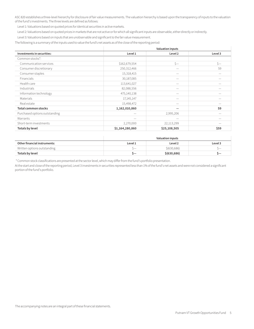ASC 820 establishes a three-level hierarchy for disclosure of fair value measurements. The valuation hierarchy is based upon the transparency of inputs to the valuation of the fund's investments. The three levels are defined as follows:

Level 1: Valuations based on quoted prices for identical securities in active markets.

Level 2: Valuations based on quoted prices in markets that are not active or for which all significant inputs are observable, either directly or indirectly.

Level 3: Valuations based on inputs that are unobservable and significant to the fair value measurement.

The following is a summary of the inputs used to value the fund's net assets as of the close of the reporting period:

|                               |                 | <b>Valuation inputs</b> |          |
|-------------------------------|-----------------|-------------------------|----------|
| Investments in securities:    | Level 1         | Level 2                 | Level 3  |
| Common stocks*:               |                 |                         |          |
| Communication services        | \$162,679,554   | $S-$                    | $\zeta-$ |
| Consumer discretionary        | 250,312,466     |                         | 59       |
| Consumer staples              | 15,318,415      |                         |          |
| Financials                    | 30,187,085      |                         |          |
| Health care                   | 113,641,027     |                         |          |
| Industrials                   | 82,088,556      |                         |          |
| Information technology        | 475,140,138     |                         |          |
| Materials                     | 17, 145, 147    |                         |          |
| Real estate                   | 15,498,472      |                         |          |
| <b>Total common stocks</b>    | 1,162,010,860   |                         | 59       |
| Purchased options outstanding |                 | 2,995,206               |          |
| Warrants                      |                 |                         |          |
| Short-term investments        | 2,270,000       | 22,113,299              |          |
| Totals by level               | \$1,164,280,860 | \$25,108,505            | \$59     |

|                              | Valuation inputs         |               |         |
|------------------------------|--------------------------|---------------|---------|
| Other financial instruments: | Level 1                  | Level 2       | Level 3 |
| Written options outstanding  | $\overline{\phantom{0}}$ | \$ (630, 686) |         |
| Totals by level              |                          | \$ (630, 686) |         |

\* Common stock classifications are presented at the sector level, which may differ from the fund's portfolio presentation.

At the start and close of the reporting period, Level 3 investments in securities represented less than 1% of the fund's net assets and were not considered a significant portion of the fund's portfolio.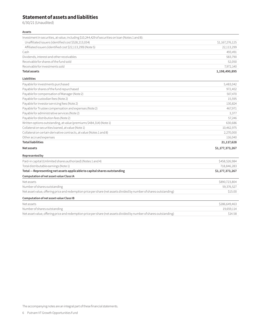# **Statement of assets and liabilities**

6/30/21 (Unaudited)

#### **Assets**

| Investment in securities, at value, including \$10,244,429 of securities on loan (Notes 1 and 8): |                 |
|---------------------------------------------------------------------------------------------------|-----------------|
| Unaffiliated issuers (identified cost \$528,213,034)                                              | \$1,167,276,125 |
| Affiliated issuers (identified cost \$22,113,299) (Note 5)                                        | 22,113,299      |
| Cash                                                                                              | 493.491         |
| Dividends, interest and other receivables                                                         | 583.790         |
| Receivable for shares of the fund sold                                                            | 52.050          |
| Receivable for investments sold                                                                   | 7.972.140       |
| <b>Total assets</b>                                                                               | 1,198,490,895   |

#### **Liabilities**

| Payable for investments purchased                                    | 5,483,042       |
|----------------------------------------------------------------------|-----------------|
| Payable for shares of the fund repurchased                           | 972,402         |
| Payable for compensation of Manager (Note 2)                         | 507,470         |
| Payable for custodian fees (Note 2)                                  | 15,595          |
| Payable for investor servicing fees (Note 2)                         | 130,824         |
| Payable for Trustee compensation and expenses (Note 2)               | 467,971         |
| Payable for administrative services (Note 2)                         | 3,377           |
| Payable for distribution fees (Note 2)                               | 57,246          |
| Written options outstanding, at value (premiums \$484,314) (Note 1)  | 630,686         |
| Collateral on securities loaned, at value (Note 1)                   | 10,462,975      |
| Collateral on certain derivative contracts, at value (Notes 1 and 8) | 2,270,000       |
| Other accrued expenses                                               | 116,040         |
| <b>Total liabilities</b>                                             | 21,117,628      |
| Net assets                                                           | \$1,177,373,267 |
| Represented by                                                       |                 |
| Paid-in capital (Unlimited shares authorized) (Notes 1 and 4)        | \$458,526,984   |

| $\frac{1}{2}$ and integration commerce one could note that $\frac{1}{2}$                                            | Y IUVIULVIUU I  |
|---------------------------------------------------------------------------------------------------------------------|-----------------|
| Total distributable earnings (Note 1)                                                                               | 718,846,283     |
| Total - Representing net assets applicable to capital shares outstanding                                            | \$1,177,373,267 |
| Computation of net asset value Class IA                                                                             |                 |
| Net assets                                                                                                          | \$890,723,804   |
| Number of shares outstanding                                                                                        | 59,376,527      |
| Net asset value, offering price and redemption price per share (net assets divided by number of shares outstanding) | \$15.00         |
| Computation of net asset value Class IB                                                                             |                 |
| Net assets                                                                                                          | \$286,649,463   |
| Number of shares outstanding                                                                                        | 19,659,114      |
| Net asset value, offering price and redemption price per share (net assets divided by number of shares outstanding) | \$14.58         |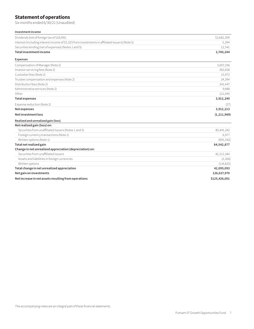# **Statement of operations**

Six months ended 6/30/21 (Unaudited)

#### **Investment income**

| Dividends (net of foreign tax of \$18,091)                                                      | \$2,682,309 |
|-------------------------------------------------------------------------------------------------|-------------|
| Interest (including interest income of \$5,325 from investments in affiliated issuers) (Note 5) | 5.394       |
| Securities lending (net of expenses) (Notes 1 and 5)                                            | 12.541      |
| Total investment income                                                                         | 2,700,244   |
| <b>Expenses</b>                                                                                 |             |

| Compensation of Manager (Note 2)                         | 3,007,336     |
|----------------------------------------------------------|---------------|
| Investor servicing fees (Note 2)                         | 392,058       |
| Custodian fees (Note 2)                                  | 15,972        |
| Trustee compensation and expenses (Note 2)               | 24,394        |
| Distribution fees (Note 2)                               | 341,447       |
| Administrative services (Note 2)                         | 9,988         |
| Other                                                    | 121,045       |
| <b>Total expenses</b>                                    | 3,912,240     |
| Expense reduction (Note 2)                               | (27)          |
| Net expenses                                             | 3,912,213     |
| Net investment loss                                      | (1, 211, 969) |
| Realized and unrealized gain (loss)                      |               |
| Net realized gain (loss) on:                             |               |
| Securities from unaffiliated issuers (Notes 1 and 3)     | 85,441,242    |
| Foreign currency transactions (Note 1)                   | 6,977         |
| Written options (Note 1)                                 | (905, 342)    |
| Total net realized gain                                  | 84,542,877    |
| Change in net unrealized appreciation (depreciation) on: |               |
| Securities from unaffiliated issuers                     | 42,212,184    |
| Assets and liabilities in foreign currencies             | (2,266)       |
| Written options                                          | (114, 825)    |
| Total change in net unrealized appreciation              | 42,095,093    |
| Net gain on investments                                  | 126,637,970   |
| Net increase in net assets resulting from operations     | \$125,426,001 |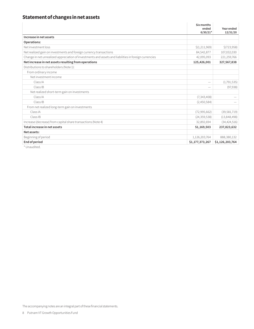# **Statement of changes in net assets**

|                                                                                                       | Six months<br>ended<br>$6/30/21*$ | Year ended<br>12/31/20 |
|-------------------------------------------------------------------------------------------------------|-----------------------------------|------------------------|
| Increase in net assets                                                                                |                                   |                        |
| Operations:                                                                                           |                                   |                        |
| Net investment loss                                                                                   | \$(1, 211, 969)                   | \$(723,958)            |
| Net realized gain on investments and foreign currency transactions                                    | 84,542,877                        | 107,032,030            |
| Change in net unrealized appreciation of investments and assets and liabilities in foreign currencies | 42,095,093                        | 221,259,766            |
| Net increase in net assets resulting from operations                                                  | 125,426,001                       | 327,567,838            |
| Distributions to shareholders (Note 1):                                                               |                                   |                        |
| From ordinary income                                                                                  |                                   |                        |
| Net investment income                                                                                 |                                   |                        |
| Class IA                                                                                              | $\overline{\phantom{a}}$          | (1,791,535)            |
| Class IB                                                                                              | $\overline{\phantom{a}}$          | (97, 938)              |
| Net realized short-term gain on investments                                                           |                                   |                        |
| Class IA                                                                                              | (7,343,408)                       |                        |
| Class IB                                                                                              | (2,450,584)                       |                        |
| From net realized long-term gain on investments                                                       |                                   |                        |
| Class IA                                                                                              | (72,995,662)                      | (39,581,719)           |
| Class IB                                                                                              | (24, 359, 538)                    | (13,848,498)           |
| Increase (decrease) from capital share transactions (Note 4)                                          | 32,892,694                        | (34, 424, 516)         |
| Total increase in net assets                                                                          | 51,169,503                        | 237,823,632            |
| Net assets:                                                                                           |                                   |                        |
| Beginning of period                                                                                   | 1,126,203,764                     | 888,380,132            |
| End of period<br>The Contract                                                                         | \$1,177,373,267                   | \$1,126,203,764        |

Unaudited.

The accompanying notes are an integral part of these financial statements.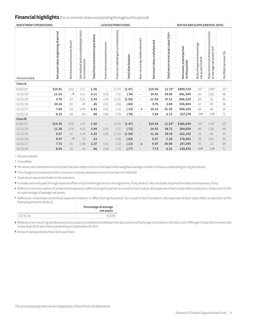## **Financial highlights** (For a common share outstanding throughout the period)

| <b>INVESTMENT OPERATIONS:</b> |                                      |                                           |                                                                 | <b>LESS DISTRIBUTIONS:</b>       |                              |                                          |                            |                              | <b>RATIOS AND SUPPLEMENTAL DATA:</b> |                                        |                                             |                                                    |                                                                     |                       |
|-------------------------------|--------------------------------------|-------------------------------------------|-----------------------------------------------------------------|----------------------------------|------------------------------|------------------------------------------|----------------------------|------------------------------|--------------------------------------|----------------------------------------|---------------------------------------------|----------------------------------------------------|---------------------------------------------------------------------|-----------------------|
| Period ended                  | Net asset value, beginning of period | Net investment income (loss) <sup>a</sup> | gain (loss)<br>unrealized<br>Net realized and<br>on investments | Total from investment operations | From net investment income   | gain on investments<br>From net realized | <b>Total distributions</b> | Non-recurring reimbursements | Netasset value, end of period        | Total return at net asset value (%)b,c | Net assets, end of period<br>(in thousands) | Ratio of expenses to average<br>netassets (%)b,d,f | Ratio of net investment income (loss)<br>to average net assets (%)f | Portfolioturnover (%) |
| Class IA                      |                                      |                                           |                                                                 |                                  |                              |                                          |                            |                              |                                      |                                        |                                             |                                                    |                                                                     |                       |
| 6/30/21                       | \$14.91                              | (.01)                                     | 1.57                                                            | 1.56                             | $\overbrace{\qquad \qquad }$ | (1.47)                                   | (1.47)                     | $\qquad \qquad$              | \$15.00                              | $11.75*$                               | \$890,724                                   | $.32*$                                             | $(.08)^*$                                                           | $25*$                 |
| 12/31/20                      | 11.54                                | $-h$                                      | 4.11                                                            | 4.11                             | (.03)                        | (.71)                                    | (.74)                      | $\overline{\phantom{m}}$     | 14.91                                | 39.09                                  | 841,545                                     | .65                                                | (.01)                                                               | 48                    |
| 12/31/19                      | 9.76                                 | .03                                       | 3.31                                                            | 3.34                             | (.04)                        | (1.52)                                   | (1.56)                     | $\overline{\phantom{m}}$     | 11.54                                | 37.11                                  | 666,225                                     | .66                                                | .31                                                                 | 40                    |
| 12/31/18                      | 10.14                                | .02                                       | .24                                                             | .26                              | (.01)                        | (.63)                                    | (.64)                      | $\overline{\phantom{m}}$     | 9.76                                 | 2.60                                   | 558,404                                     | .67                                                | .20                                                                 | 56                    |
| 12/31/17                      | 7.84                                 | .03                                       | 2.40                                                            | 2.43                             | (.01)                        | (.12)                                    | (.13)                      | $-\mathsf{g}$                | 10.14                                | 31.30                                  | 606,169                                     | .66                                                | .38                                                                 | 59                    |
| 12/31/16                      | 8.15                                 | .04                                       | .44                                                             | .48                              | (.06)                        | (.73)                                    | (.79)                      | $\overline{\phantom{m}}$     | 7.84                                 | 6.72                                   | 517,274                                     | .74e                                               | .53e                                                                | 71                    |
| Class IB                      |                                      |                                           |                                                                 |                                  |                              |                                          |                            |                              |                                      |                                        |                                             |                                                    |                                                                     |                       |
| 6/30/21                       | \$14.55                              | (.03)                                     | 1.53                                                            | 1.50                             | $\overline{\phantom{m}}$     | (1.47)                                   | (1.47)                     | $\overline{\phantom{m}}$     | \$14.58                              | $11.63*$                               | \$286,649                                   | $.44*$                                             | $(.20)^*$                                                           | $25*$                 |
| 12/31/20                      | 11.28                                | (.03)                                     | 4.02                                                            | 3.99                             | (.01)                        | (.71)                                    | (.72)                      | $\overline{\phantom{m}}$     | 14.55                                | 38.71                                  | 284,659                                     | .90                                                | (.26)                                                               | 48                    |
| 12/31/19                      | 9.57                                 | .01                                       | 3.24                                                            | 3.25                             | (.02)                        | (1.52)                                   | (1.54)                     | $\overline{\phantom{m}}$     | 11.28                                | 36.74                                  | 222,155                                     | .91                                                | .06                                                                 | 40                    |
| 12/31/18                      | 9.97                                 | $-\mathsf{h}$                             | .23                                                             | .23                              | $\overline{\phantom{m}}$     | (.63)                                    | (.63)                      | $\overline{\phantom{m}}$     | 9.57                                 | 2.38                                   | 178,062                                     | .92                                                | (.05)                                                               | 56                    |
| 12/31/17                      | 7.73                                 | .01                                       | 2.36                                                            | 2.37                             | (.01)                        | (.12)                                    | (.13)                      | $-\mathsf{g}$                | 9.97                                 | 30.90                                  | 187,395                                     | .91                                                | .13                                                                 | 59                    |
| 12/31/16                      | 8.04                                 | .02                                       | .44                                                             | .46                              | (.04)                        | (.73)                                    | (.77)                      | $\overline{\phantom{m}}$     | 7.73                                 | 6.51                                   | 159,870                                     | .99e                                               | .33e                                                                | 71                    |

\* Not annualized.

† Unaudited.

**<sup>a</sup>** Per share net investment income (loss) has been determined on the basis of the weighted average number of shares outstanding during the period.

**<sup>b</sup>** The charges and expenses at the insurance company separate account level are not reflected.

**<sup>c</sup>** Total return assumes dividend reinvestment.

**<sup>d</sup>** Includes amounts paid through expense offset and/or brokerage/service arrangements, if any (Note 2). Also excludes acquired fund fees and expenses, if any.

- **<sup>e</sup>** Reflects a voluntary waiver of certain fund expenses in effect during the period. As a result of such waiver, the expenses of each class reflect a reduction of less than 0.01% as a percentage of average net assets.
- **<sup>f</sup>** Reflects an involuntary contractual expense limitation in effect during the period. As a result of such limitation, the expenses of each class reflect a reduction of the following amounts (Note 2):

|          | Percentage of average<br>net assets |
|----------|-------------------------------------|
| 12/31/16 | $< 0.01\%$                          |
|          |                                     |

**<sup>g</sup>** Reflects a non-recurring reimbursement pursuant to a settlement between the Securities and Exchange Commission (the SEC) and JPMorgan Chase which amounted to less than \$0.01 per share outstanding on September 29, 2017.

**<sup>h</sup>** Amount represents less than \$0.01 per share.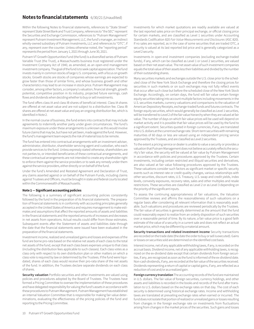### **Notes to financial statements** 6/30/21 (Unaudited)

Within the following Notes to financial statements, references to "State Street" represent State Street Bank and Trust Company, references to "the SEC" represent the Securities and Exchange Commission, references to "Putnam Management" represent Putnam Investment Management, LLC, the fund's manager, an indirect wholly-owned subsidiary of Putnam Investments, LLC and references to "OTC", if any, represent over-the-counter. Unless otherwise noted, the "reporting period" represents the period from January 1, 2021 through June 30, 2021.

Putnam VT Growth Opportunities Fund (the fund) is a diversified series of Putnam Variable Trust (the Trust), a Massachusetts business trust registered under the Investment Company Act of 1940, as amended, as an open-end management investment company. The goal of the fund is to seek capital appreciation. The fund invests mainly in common stocks of large U.S. companies, with a focus on growth stocks. Growth stocks are stocks of companies whose earnings are expected to grow faster than those of similar firms, and whose business growth and other characteristics may lead to an increase in stock price. Putnam Management may consider, among other factors, a company's valuation, financial strength, growth potential, competitive position in its industry, projected future earnings, cash flows and dividends when deciding whether to buy or sell investments.

The fund offers class IA and class IB shares of beneficial interest. Class IA shares are offered at net asset value and are not subject to a distribution fee. Class IB shares are offered at net asset value and pay an ongoing distribution fee, which is identified in Note 2.

In the normal course of business, the fund enters into contracts that may include agreements to indemnify another party under given circumstances. The fund's maximum exposure under these arrangements is unknown as this would involve future claims that may be, but have not yet been, made against the fund. However, the fund's management team expects the risk of material loss to be remote.

The fund has entered into contractual arrangements with an investment adviser, administrator, distributor, shareholder servicing agent and custodian, who each provide services to the fund. Unless expressly stated otherwise, shareholders are not parties to, or intended beneficiaries of these contractual arrangements, and these contractual arrangements are not intended to create any shareholder right to enforce them against the service providers or to seek any remedy under them against the service providers, either directly or on behalf of the fund.

Under the fund's Amended and Restated Agreement and Declaration of Trust, any claims asserted against or on behalf of the Putnam Funds, including claims against Trustees and Officers, must be brought in state and federal courts located within the Commonwealth of Massachusetts.

#### **Note 1 — Significant accounting policies**

The following is a summary of significant accounting policies consistently followed by the fund in the preparation of its financial statements. The preparation of financial statements is in conformity with accounting principles generally accepted in the United States of America and requires management to make estimates and assumptions that affect the reported amounts of assets and liabilities in the financial statements and the reported amounts of increases and decreases in net assets from operations. Actual results could differ from those estimates. Subsequent events after the Statement of assets and liabilities date through the date that the financial statements were issued have been evaluated in the preparation of the financial statements.

Investment income, realized and unrealized gains and losses and expenses of the fund are borne pro-rata based on the relative net assets of each class to the total net assets of the fund, except that each class bears expenses unique to that class (including the distribution fees applicable to such classes). Each class votes as a class only with respect to its own distribution plan or other matters on which a class vote is required by law or determined by the Trustees. If the fund were liquidated, shares of each class would receive their pro-rata share of the net assets of the fund. In addition, the Trustees declare separate dividends on each class of shares.

**Security valuation** Portfolio securities and other investments are valued using policies and procedures adopted by the Board of Trustees. The Trustees have formed a Pricing Committee to oversee the implementation of these procedures and have delegated responsibility for valuing the fund's assets in accordance with these procedures to Putnam Management. Putnam Management has established an internal Valuation Committee that is responsible for making fair value determinations, evaluating the effectiveness of the pricing policies of the fund and reporting to the Pricing Committee.

Investments for which market quotations are readily available are valued at the last reported sales price on their principal exchange, or official closing price for certain markets, and are classified as Level 1 securities under Accounting Standards Codification 820 *Fair Value Measurements and Disclosures* (ASC 820). If no sales are reported, as in the case of some securities that are traded OTC, a security is valued at its last reported bid price and is generally categorized as a Level 2 security.

Investments in open-end investment companies (excluding exchange-traded funds), if any, which can be classified as Level 1 or Level 2 securities, are valued based on their net asset value. The net asset value of such investment companies equals the total value of their assets less their liabilities and divided by the number of their outstanding shares.

Many securities markets and exchanges outside the U.S. close prior to the scheduled close of the New York Stock Exchange and therefore the closing prices for securities in such markets or on such exchanges may not fully reflect events that occur after such close but before the scheduled close of the New York Stock Exchange. Accordingly, on certain days, the fund will fair value certain foreign equity securities taking into account multiple factors including movements in the U.S. securities markets, currency valuations and comparisons to the valuation of American Depository Receipts, exchange-traded funds and futures contracts. The foreign equity securities, which would generally be classified as Level 1 securities, will be transferred to Level 2 of the fair value hierarchy when they are valued at fair value. The number of days on which fair value prices will be used will depend on market activity and it is possible that fair value prices will be used by the fund to a significant extent. Securities quoted in foreign currencies, if any, are translated into U.S. dollars at the current exchange rate. Short-term securities with remaining maturities of 60 days or less are valued using an independent pricing service approved by the Trustees, and are classified as Level 2 securities.

To the extent a pricing service or dealer is unable to value a security or provides a valuation that Putnam Management does not believe accurately reflects the security's fair value, the security will be valued at fair value by Putnam Management in accordance with policies and procedures approved by the Trustees. Certain investments, including certain restricted and illiquid securities and derivatives, are also valued at fair value following procedures approved by the Trustees. These valuations consider such factors as significant market or specific security events such as interest rate or credit quality changes, various relationships with other securities, discount rates, U.S. Treasury, U.S. swap and credit yields, index levels, convexity exposures, recovery rates, sales and other multiples and resale restrictions. These securities are classified as Level 2 or as Level 3 depending on the priority of the significant inputs.

To assess the continuing appropriateness of fair valuations, the Valuation Committee reviews and affirms the reasonableness of such valuations on a regular basis after considering all relevant information that is reasonably available. Such valuations and procedures are reviewed periodically by the Trustees. The fair value of securities is generally determined as the amount that the fund could reasonably expect to realize from an orderly disposition of such securities over a reasonable period of time. By its nature, a fair value price is a good faith estimate of the value of a security in a current sale and does not reflect an actual market price, which may be different by a material amount.

**Security transactions and related investment income** Security transactions are recorded on the trade date (the date the order to buy or sell is executed). Gains or losses on securities sold are determined on the identified cost basis.

Interest income, net of any applicable withholding taxes, if any, is recorded on the accrual basis. Dividend income, net of any applicable withholding taxes, is recognized on the ex-dividend date except that certain dividends from foreign securities, if any, are recognized as soon as the fund is informed of the ex-dividend date. Non-cash dividends, if any, are recorded at the fair value of the securities received. Dividends representing a return of capital or capital gains, if any, are reflected as a reduction of cost and/or as a realized gain.

**Foreign currency translation** The accounting records of the fund are maintained in U.S. dollars. The fair value of foreign securities, currency holdings, and other assets and liabilities is recorded in the books and records of the fund after translation to U.S. dollars based on the exchange rates on that day. The cost of each security is determined using historical exchange rates. Income and withholding taxes are translated at prevailing exchange rates when earned or incurred. The fund does not isolate that portion of realized or unrealized gains or losses resulting from changes in the foreign exchange rate on investments from fluctuations arising from changes in the market prices of the securities. Such gains and losses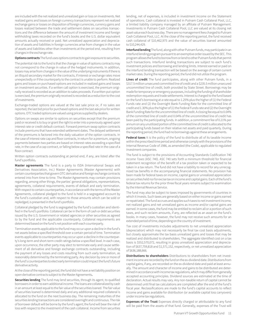are included with the net realized and unrealized gain or loss on investments. Net realized gains and losses on foreign currency transactions represent net realized exchange gains or losses on disposition of foreign currencies, currency gains and losses realized between the trade and settlement dates on securities transactions and the difference between the amount of investment income and foreign withholding taxes recorded on the fund's books and the U.S. dollar equivalent amounts actually received or paid. Net unrealized appreciation and depreciation of assets and liabilities in foreign currencies arise from changes in the value of assets and liabilities other than investments at the period end, resulting from changes in the exchange rate.

#### **Options contracts** The fund uses options contracts to gain exposure to securities.

The potential risk to the fund is that the change in value of options contracts may not correspond to the change in value of the hedged instruments. In addition, losses may arise from changes in the value of the underlying instruments if there is an illiquid secondary market for the contracts, if interest or exchange rates move unexpectedly or if the counterparty to the contract is unable to perform. Realized gains and losses on purchased options are included in realized gains and losses on investment securities. If a written call option is exercised, the premium originally received is recorded as an addition to sales proceeds. If a written put option is exercised, the premium originally received is recorded as a reduction to the cost of investments.

Exchange-traded options are valued at the last sale price or, if no sales are reported, the last bid price for purchased options and the last ask price for written options. OTC traded options are valued using prices supplied by dealers.

Options on swaps are similar to options on securities except that the premium paid or received is to buy or grant the right to enter into a previously agreed upon interest rate or credit default contract. Forward premium swap option contracts include premiums that have extended settlement dates. The delayed settlement of the premiums is factored into the daily valuation of the option contracts. In the case of interest rate cap and floor contracts, in return for a premium, ongoing payments between two parties are based on interest rates exceeding a specified rate, in the case of a cap contract, or falling below a specified rate in the case of a floor contract.

Written option contracts outstanding at period end, if any, are listed after the fund's portfolio**.**

**Master agreements** The fund is a party to ISDA (International Swaps and Derivatives Association, Inc.) Master Agreements (Master Agreements) with certain counterparties that govern OTC derivative and foreign exchange contracts entered into from time to time. The Master Agreements may contain provisions regarding, among other things, the parties' general obligations, representations, agreements, collateral requirements, events of default and early termination. With respect to certain counterparties, in accordance with the terms of the Master Agreements, collateral pledged to the fund is held in a segregated account by the fund's custodian and, with respect to those amounts which can be sold or repledged, is presented in the fund's portfolio.

Collateral pledged by the fund is segregated by the fund's custodian and identified in the fund's portfolio. Collateral can be in the form of cash or debt securities issued by the U.S. Government or related agencies or other securities as agreed to by the fund and the applicable counterparty. Collateral requirements are determined based on the fund's net position with each counterparty.

Termination events applicable to the fund may occur upon a decline in the fund's net assets below a specified threshold over a certain period of time. Termination events applicable to counterparties may occur upon a decline in the counterparty's long-term and short-term credit ratings below a specified level. In each case, upon occurrence, the other party may elect to terminate early and cause settlement of all derivative and foreign exchange contracts outstanding, including the payment of any losses and costs resulting from such early termination, as reasonably determined by the terminating party. Any decision by one or more of the fund's counterparties to elect early termination could impact the fund's future derivative activity.

At the close of the reporting period, the fund did not have a net liability position on open derivative contracts subject to the Master Agreements**.**

**Securities lending** The fund may lend securities, through its agent, to qualified borrowers in order to earn additional income. The loans are collateralized by cash in an amount at least equal to the fair value of the securities loaned. The fair value of securities loaned is determined daily and any additional required collateral is allocated to the fund on the next business day. The remaining maturities of the securities lending transactions are considered overnight and continuous. The risk of borrower default will be borne by the fund's agent; the fund will bear the risk of loss with respect to the investment of the cash collateral. Income from securities

lending, net of expenses, is included in investment income on the Statement of operations. Cash collateral is invested in Putnam Cash Collateral Pool, LLC, a limited liability company managed by an affiliate of Putnam Management. Investments in Putnam Cash Collateral Pool, LLC are valued at its closing net asset value each business day. There are no management fees charged to Putnam Cash Collateral Pool, LLC. At the close of the reporting period, the fund received cash collateral of \$10,462,975 and the value of securities loaned amounted to \$10,244,429.

**Interfund lending** The fund, along with other Putnam funds, may participate in an interfund lending program pursuant to an exemptive order issued by the SEC. This program allows the fund to borrow from or lend to other Putnam funds that permit such transactions. Interfund lending transactions are subject to each fund's investment policies and borrowing and lending limits. Interest earned or paid on the interfund lending transaction will be based on the average of certain current market rates. During the reporting period, the fund did not utilize the program.

**Lines of credit** The fund participates, along with other Putnam funds, in a \$317.5 million unsecured committed line of credit and a \$235.5 million unsecured uncommitted line of credit, both provided by State Street. Borrowings may be made for temporary or emergency purposes, including the funding of shareholder redemption requests and trade settlements. Interest is charged to the fund based on the fund's borrowing at a rate equal to 1.25% plus the higher of (1) the Federal Funds rate and (2) the Overnight Bank Funding Rate for the committed line of credit and 1.30% plus the higher of (1) the Federal Funds rate and (2) the Overnight Bank Funding Rate for the uncommitted line of credit. A closing fee equal to 0.04% of the committed line of credit and 0.04% of the uncommitted line of credit has been paid by the participating funds. In addition, a commitment fee of 0.21% per annum on any unutilized portion of the committed line of credit is allocated to the participating funds based on their relative net assets and paid quarterly. During the reporting period, the fund had no borrowings against these arrangements.

**Federal taxes** It is the policy of the fund to distribute all of its taxable income within the prescribed time period and otherwise comply with the provisions of the Internal Revenue Code of 1986, as amended (the Code), applicable to regulated investment companies.

The fund is subject to the provisions of Accounting Standards Codification 740 *Income Taxes* (ASC 740). ASC 740 sets forth a minimum threshold for financial statement recognition of the benefit of a tax position taken or expected to be taken in a tax return. The fund did not have a liability to record for any unrecognized tax benefits in the accompanying financial statements. No provision has been made for federal taxes on income, capital gains or unrealized appreciation on securities held nor for excise tax on income and capital gains. Each of the fund's federal tax returns for the prior three fiscal years remains subject to examination by the Internal Revenue Service.

The fund may also be subject to taxes imposed by governments of countries in which it invests. Such taxes are generally based on either income or gains earned or repatriated. The fund accrues and applies such taxes to net investment income, net realized gains and net unrealized gains as income and/or capital gains are earned. In some cases, the fund may be entitled to reclaim all or a portion of such taxes, and such reclaim amounts, if any, are reflected as an asset on the fund's books. In many cases, however, the fund may not receive such amounts for an extended period of time, depending on the country of investment.

Tax cost of investments includes adjustments to net unrealized appreciation (depreciation) which may not necessarily be final tax cost basis adjustments, but closely approximate the tax basis unrealized gains and losses that may be realized and distributed to shareholders. The aggregate identified cost on a tax basis is \$552,570,072, resulting in gross unrealized appreciation and depreciation of \$637,759,818 and \$1,571,152, respectively, or net unrealized appreciation of \$636,188,666.

**Distributions to shareholders** Distributions to shareholders from net investment income are recorded by the fund on the ex-dividend date. Distributions from capital gains, if any, are recorded on the ex-dividend date and paid at least annually. The amount and character of income and gains to be distributed are determined in accordance with income tax regulations, which may differ from generally accepted accounting principles. Dividend sources are estimated at the time of declaration. Actual results may vary. Any non-taxable return of capital cannot be determined until final tax calculations are completed after the end of the fund's fiscal year. Reclassifications are made to the fund's capital accounts to reflect income and gains available for distribution (or available capital loss carryovers) under income tax regulations.

**Expenses of the Trust** Expenses directly charged or attributable to any fund will be paid from the assets of that fund. Generally, expenses of the Trust will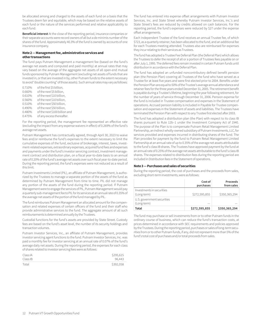be allocated among and charged to the assets of each fund on a basis that the Trustees deem fair and equitable, which may be based on the relative assets of each fund or the nature of the services performed and relative applicability to each fund.

**Beneficial interest** At the close of the reporting period, insurance companies or their separate accounts were record owners of all but a de minimis number of the shares of the fund. Approximately 40.3% of the fund is owned by accounts of one insurance company.

#### **Note 2 — Management fee, administrative services and other transactions**

The fund pays Putnam Management a management fee (based on the fund's average net assets and computed and paid monthly) at annual rates that may vary based on the average of the aggregate net assets of all open-end mutual funds sponsored by Putnam Management (excluding net assets of funds that are invested in, or that are invested in by, other Putnam funds to the extent necessary to avoid "double counting" of those assets). Such annual rates may vary as follows:

0.710% of the first \$5 billion, 0.660% of the next \$5 billion, 0.610% of the next \$10 billion, 0.560% of the next \$10 billion, 0.510% of the next \$50 billion, 0.490% of the next \$50 billion, 0.480% of the next \$100 billion and 0.475% of any excess thereafter.

For the reporting period, the management fee represented an effective rate (excluding the impact from any expense waivers in effect) of 0.269% of the fund's average net assets.

Putnam Management has contractually agreed, through April 30, 2023 to waive fees and/or reimburse the fund's expenses to the extent necessary to limit the cumulative expenses of the fund, exclusive of brokerage, interest, taxes, investment-related expenses, extraordinary expenses, acquired fund fees and expenses and payments under the fund's investor servicing contract, investment management contract and distribution plan, on a fiscal year-to-date basis to an annual rate of 0.20% of the fund's average net assets over such fiscal year-to-date period. During the reporting period, the fund's expenses were not reduced as a result of this limit.

Putnam Investments Limited (PIL), an affiliate of Putnam Management, is authorized by the Trustees to manage a separate portion of the assets of the fund as determined by Putnam Management from time to time. PIL did not manage any portion of the assets of the fund during the reporting period. If Putnam Management were to engage the services of PIL, Putnam Management would pay a quarterly sub-management fee to PIL for its services at an annual rate of 0.35% of the average net assets of the portion of the fund managed by PIL.

The fund reimburses Putnam Management an allocated amount for the compensation and related expenses of certain officers of the fund and their staff who provide administrative services to the fund. The aggregate amount of all such reimbursements is determined annually by the Trustees.

Custodial functions for the fund's assets are provided by State Street. Custody fees are based on the fund's asset level, the number of its security holdings and transaction volumes.

Putnam Investor Services, Inc., an affiliate of Putnam Management, provides investor servicing agent functions to the fund. Putnam Investor Services, Inc. was paid a monthly fee for investor servicing at an annual rate of 0.07% of the fund's average daily net assets. During the reporting period, the expenses for each class of shares related to investor servicing fees were as follows:

| Class IA | \$295,615 |
|----------|-----------|
| Class IB | 96.443    |
| Total    | \$392,058 |

The fund has entered into expense offset arrangements with Putnam Investor Services, Inc. and State Street whereby Putnam Investor Services, Inc.'s and State Street's fees are reduced by credits allowed on cash balances. For the reporting period, the fund's expenses were reduced by \$27 under the expense offset arrangements.

Each Independent Trustee of the fund receives an annual Trustee fee, of which \$723, as a quarterly retainer, has been allocated to the fund, and an additional fee for each Trustees meeting attended. Trustees also are reimbursed for expenses they incur relating to their services as Trustees.

The fund has adopted a Trustee Fee Deferral Plan (the Deferral Plan) which allows the Trustees to defer the receipt of all or a portion of Trustees fees payable on or after July 1, 1995. The deferred fees remain invested in certain Putnam funds until distribution in accordance with the Deferral Plan.

The fund has adopted an unfunded noncontributory defined benefit pension plan (the Pension Plan) covering all Trustees of the fund who have served as a Trustee for at least five years and were first elected prior to 2004. Benefits under the Pension Plan are equal to 50% of the Trustee's average annual attendance and retainer fees for the three years ended December 31, 2005. The retirement benefit is payable during a Trustee's lifetime, beginning the year following retirement, for the number of years of service through December 31, 2006. Pension expense for the fund is included in Trustee compensation and expenses in the Statement of operations. Accrued pension liability is included in Payable for Trustee compensation and expenses in the Statement of assets and liabilities. The Trustees have terminated the Pension Plan with respect to any Trustee first elected after 2003.

The fund has adopted a distribution plan (the Plan) with respect to its class IB shares pursuant to Rule 12b–1 under the Investment Company Act of 1940. The purpose of the Plan is to compensate Putnam Retail Management Limited Partnership, an indirect wholly-owned subsidiary of Putnam Investments, LLC, for services provided and expenses incurred in distributing shares of the fund. The Plan provides for payment by the fund to Putnam Retail Management Limited Partnership at an annual rate of up to 0.35% of the average net assets attributable to the fund's class IB shares. The Trustees have approved payment by the fund at an annual rate of 0.25% of the average net assets attributable to the fund's class IB shares. The expenses related to distribution fees during the reporting period are included in Distribution fees in the Statement of operations.

#### **Note 3 — Purchases and sales of securities**

During the reporting period, the cost of purchases and the proceeds from sales, excluding short-term investments, were as follows:

|                                           | Cost of<br>purchases | Proceeds<br>from sales |
|-------------------------------------------|----------------------|------------------------|
| Investments in securities<br>(Long-term)  | \$272,595,855        | \$350,365,294          |
| U.S. government securities<br>(Long-term) |                      |                        |
| Total                                     | \$272,595,855        | \$350,365,294          |

The fund may purchase or sell investments from or to other Putnam funds in the ordinary course of business, which can reduce the fund's transaction costs, at prices determined in accordance with SEC requirements and policies approved by the Trustees. During the reporting period, purchases or sales of long-term securities from or to other Putnam funds, if any, did not represent more than 5% of the fund's total cost of purchases and/or total proceeds from sales.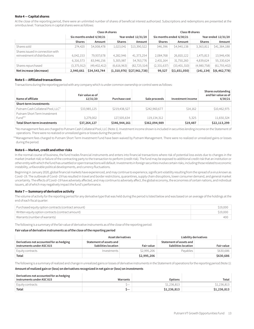#### **Note 4 — Capital shares**

At the close of the reporting period, there were an unlimited number of shares of beneficial interest authorized. Subscriptions and redemptions are presented at the omnibus level. Transactions in capital shares were as follows:

|                                                                   |                          | Class IA shares |                     |                                                     | Class IB shares |                          |                     |                 |
|-------------------------------------------------------------------|--------------------------|-----------------|---------------------|-----------------------------------------------------|-----------------|--------------------------|---------------------|-----------------|
|                                                                   | Six months ended 6/30/21 |                 | Year ended 12/31/20 |                                                     |                 | Six months ended 6/30/21 | Year ended 12/31/20 |                 |
|                                                                   | <b>Shares</b>            | Amount          | <b>Shares</b>       | Amount                                              | <b>Shares</b>   | Amount                   | <b>Shares</b>       | Amount          |
| Shares sold                                                       | 274,420                  | \$4,008,478     | 1,023,041           | \$13,390,522                                        | 346,396         | \$4,940,138              | 3,363,811           | \$41,384,188    |
| Shares issued in connection with<br>reinvestment of distributions | 6,042,153                | 79,937,678      | 4,282,946           | 41,373,254                                          | 2,084,768       | 26,810,122               | 1,475,813           | 13,946,436      |
|                                                                   | 6,316,573                | 83,946,156      | 5,305,987           | 54,763,776                                          | 2,431,164       | 31,750,260               | 4,839,624           | 55,330,624      |
| Shares repurchased                                                | (3,375,912)              | (49, 402, 412)  | (6,616,963)         | (82, 725, 514)                                      | (2, 331, 637)   | (33,401,310)             | (4,980,758)         | (61, 793, 402)  |
| Net increase (decrease)                                           | 2,940,661                | \$34,543,744    |                     | $(1,310,976)$ $\left  \frac{27,961,738}{2} \right $ | 99,527          | \$(1,651,050)            | (141, 134)          | \$(6, 462, 778) |

#### **Note 5 — Affiliated transactions**

Transactions during the reporting period with any company which is under common ownership or control were as follows:

| Name of affiliate                      | Fair value as of<br>12/31/20 | Purchase cost | Sale proceeds | Investment income | Shares outstanding<br>and fair value as of<br>6/30/21 |
|----------------------------------------|------------------------------|---------------|---------------|-------------------|-------------------------------------------------------|
| Short-term investments                 |                              |               |               |                   |                                                       |
| Putnam Cash Collateral Pool, LLC*      | \$33,985,125                 | \$219,438,527 | \$242,960,677 | \$14,162          | \$10,462,975                                          |
| Putnam Short Term Investment<br>Fund** | 3,279,002                    | 127,505,634   | 119,134,312   | 5.325             | 11,650,324                                            |
| <b>Total Short-term investments</b>    | \$37,264,127                 | \$346,944,161 | \$362,094,989 | \$19,487          | \$22,113,299                                          |

\*No management fees are charged to Putnam Cash Collateral Pool, LLC (Note 1). Investment income shown is included in securities lending income on the Statement of operations. There were no realized or unrealized gains or losses during the period.

\*\*Management fees charged to Putnam Short Term Investment Fund have been waived by Putnam Management. There were no realized or unrealized gains or losses during the period.

#### **Note 6 — Market, credit and other risks**

In the normal course of business, the fund trades financial instruments and enters into financial transactions where risk of potential loss exists due to changes in the market (market risk) or failure of the contracting party to the transaction to perform (credit risk). The fund may be exposed to additional credit risk that an institution or other entity with which the fund has unsettled or open transactions will default. Investments in foreign securities involve certain risks, including those related to economic instability, unfavorable political developments, and currency fluctuations.

Beginning in January 2020, global financial markets have experienced, and may continue to experience, significant volatility resulting from the spread of a virus known as Covid–19. The outbreak of Covid–19 has resulted in travel and border restrictions, quarantines, supply chain disruptions, lower consumer demand, and general market uncertainty. The effects of Covid–19 have adversely affected, and may continue to adversely affect, the global economy, the economies of certain nations, and individual issuers, all of which may negatively impact the fund's performance.

#### **Note 7 — Summary of derivative activity**

The volume of activity for the reporting period for any derivative type that was held during the period is listed below and was based on an average of the holdings at the end of each fiscal quarter:

| Purchased equity option contracts (contract amount) | \$19,000 |
|-----------------------------------------------------|----------|
| Written equity option contracts (contract amount)   | \$19,000 |
| Warrants (number of warrants)                       | 400      |

The following is a summary of the fair value of derivative instruments as of the close of the reporting period:

#### **Fair value of derivative instruments as of the close of the reporting period**

|                                                                       | Asset derivatives                               |                   |                                                 | Liability derivatives |
|-----------------------------------------------------------------------|-------------------------------------------------|-------------------|-------------------------------------------------|-----------------------|
| Derivatives not accounted for as hedging<br>instruments under ASC 815 | Statement of assets and<br>liabilities location | <b>Fair value</b> | Statement of assets and<br>liabilities location | <b>Fair value</b>     |
| Equity contracts                                                      | Investments                                     | \$2,995,206       | Pavables                                        | \$630,686             |
| Total                                                                 |                                                 | \$2,995,206       |                                                 | \$630,686             |

The following is a summary of realized and change in unrealized gains or losses of derivative instruments in the Statement of operations for the reporting period (Note 1):

#### **Amount of realized gain or (loss) on derivatives recognized in net gain or (loss) on investments**

#### **Derivatives not accounted for as hedging**

| instruments under ASC 815 | Warrants | <b>Options</b> | Total       |
|---------------------------|----------|----------------|-------------|
| Equity contracts          | $-$      | \$1,236,813    | \$1,236,813 |
| Total                     |          | \$1,236,813    | \$1,236,813 |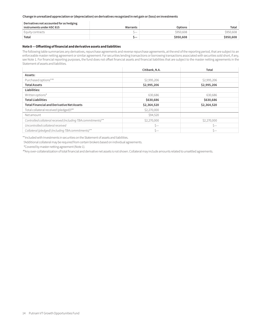**Change in unrealized appreciation or (depreciation) on derivatives recognized in net gain or (loss) on investments**

| Derivatives not accounted for as hedging |                          |           |           |
|------------------------------------------|--------------------------|-----------|-----------|
| instruments under ASC 815                | Warrants                 | Options   | Total     |
| Equity contracts                         | $\overline{\phantom{a}}$ | \$950,608 | \$950,608 |
| Total                                    | ._                       | \$950,608 | \$950,608 |

#### **Note 8 — Offsetting of financial and derivative assets and liabilities**

The following table summarizes any derivatives, repurchase agreements and reverse repurchase agreements, at the end of the reporting period, that are subject to an enforceable master netting agreement or similar agreement. For securities lending transactions or borrowing transactions associated with securities sold short, if any, see Note 1. For financial reporting purposes, the fund does not offset financial assets and financial liabilities that are subject to the master netting agreements in the Statement of assets and liabilities.

|                                                              | Citibank, N.A. | Total       |
|--------------------------------------------------------------|----------------|-------------|
| Assets:                                                      |                |             |
| Purchased options**#                                         | \$2,995,206    | \$2,995,206 |
| <b>Total Assets</b>                                          | \$2,995,206    | \$2,995,206 |
| Liabilities:                                                 |                |             |
| Written options#                                             | 630,686        | 630,686     |
| <b>Total Liabilities</b>                                     | \$630,686      | \$630,686   |
| <b>Total Financial and Derivative Net Assets</b>             | \$2,364,520    | \$2,364,520 |
| Total collateral received (pledged) <sup>†##</sup>           | \$2,270,000    |             |
| Net amount                                                   | \$94,520       |             |
| Controlled collateral received (including TBA commitments)** | \$2,270,000    | \$2,270,000 |
| Uncontrolled collateral received                             | Ś—             | $S-$        |
| Collateral (pledged) (including TBA commitments)**           | Ś—             | \$—         |

\*\*Included with Investments in securities on the Statement of assets and liabilities.

†Additional collateral may be required from certain brokers based on individual agreements.

# Covered by master netting agreement (Note 1).

##Any over-collateralization of total financial and derivative net assets is not shown. Collateral may include amounts related to unsettled agreements.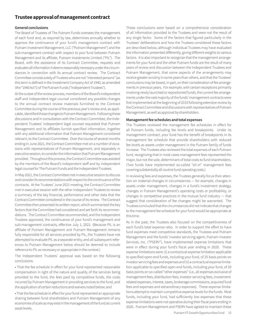## **Trustee approval of management contract**

#### **General conclusions**

The Board of Trustees of The Putnam Funds oversees the management of each fund and, as required by law, determines annually whether to approve the continuance of your fund's management contract with Putnam Investment Management, LLC ("Putnam Management") and the sub-management contract with respect to your fund between Putnam Management and its affiliate, Putnam Investments Limited ("PIL"). The Board, with the assistance of its Contract Committee, requests and evaluates all information it deems reasonably necessary under the circumstances in connection with its annual contract review. The Contract Committee consists solely of Trustees who are not "interested persons" (as this term is defined in the Investment Company Act of 1940, as amended (the "1940 Act")) of The Putnam Funds ("Independent Trustees").

At the outset of the review process, members of the Board's independent staff and independent legal counsel considered any possible changes to the annual contract review materials furnished to the Contract Committee during the course of the previous year's review and, as applicable, identified those changes to Putnam Management. Following these discussions and in consultation with the Contract Committee, the Independent Trustees' independent legal counsel requested that Putnam Management and its affiliates furnish specified information, together with any additional information that Putnam Management considered relevant, to the Contract Committee. Over the course of several months ending in June 2021, the Contract Committee met on a number of occasions with representatives of Putnam Management, and separately in executive session, to consider the information that Putnam Management provided. Throughout this process, the Contract Committee was assisted by the members of the Board's independent staff and by independent legal counsel for The Putnam Funds and the Independent Trustees.

In May 2021, the Contract Committee met in executive session to discuss and consider its recommendations with respect to the continuance of the contracts. At the Trustees' June 2021 meeting, the Contract Committee met in executive session with the other Independent Trustees to review a summary of the key financial, performance and other data that the Contract Committee considered in the course of its review. The Contract Committee then presented its written report, which summarized the key factors that the Committee had considered and set forth its recommendations. The Contract Committee recommended, and the Independent Trustees approved, the continuance of your fund's management and sub-management contracts, effective July 1, 2021. (Because PIL is an affiliate of Putnam Management and Putnam Management remains fully responsible for all services provided by PIL, the Trustees have not attempted to evaluate PIL as a separate entity, and all subsequent references to Putnam Management below should be deemed to include reference to PIL as necessary or appropriate in the context.)

The Independent Trustees' approval was based on the following conclusions:

• That the fee schedule in effect for your fund represented reasonable compensation in light of the nature and quality of the services being provided to the fund, the fees paid by competitive funds, the costs incurred by Putnam Management in providing services to the fund, and the application of certain reductions and waivers noted below; and

• That the fee schedule in effect for your fund represented an appropriate sharing between fund shareholders and Putnam Management of any economies of scale as may exist in the management of the fund at current asset levels.

These conclusions were based on a comprehensive consideration of all information provided to the Trustees and were not the result of any single factor. Some of the factors that figured particularly in the Trustees' deliberations and how the Trustees considered these factors are described below, although individual Trustees may have evaluated the information presented differently, giving different weights to various factors. It is also important to recognize that the management arrangements for your fund and the other Putnam funds are the result of many years of review and discussion between the Independent Trustees and Putnam Management, that some aspects of the arrangements may receive greater scrutiny in some years than others, and that the Trustees' conclusions may be based, in part, on their consideration of fee arrangements in previous years. For example, with certain exceptions primarily involving newly launched or repositioned funds, the current fee arrangements under the vast majority of the funds' management contracts were first implemented at the beginning of 2010 following extensive review by the Contract Committee and discussions with representatives of Putnam Management, as well as approval by shareholders.

#### **Management fee schedules and total expenses**

The Trustees reviewed the management fee schedules in effect for all Putnam funds, including fee levels and breakpoints. Under its management contract, your fund has the benefit of breakpoints in its management fee schedule that provide shareholders with reduced fee levels as assets under management in the Putnam family of funds increase. The Trustees also reviewed the total expenses of each Putnam fund, recognizing that in most cases management fees represented the major, but not the sole, determinant of total costs to fund shareholders. (Two funds have implemented so-called "all-in" management fees covering substantially all routine fund operating costs.)

In reviewing fees and expenses, the Trustees generally focus their attention on material changes in circumstances — for example, changes in assets under management, changes in a fund's investment strategy, changes in Putnam Management's operating costs or profitability, or changes in competitive practices in the mutual fund industry — that suggest that consideration of fee changes might be warranted. The Trustees concluded that the circumstances did not indicate that changes to the management fee schedule for your fund would be appropriate at this time.

As in the past, the Trustees also focused on the competitiveness of each fund's total expense ratio. In order to support the effort to have fund expenses meet competitive standards, the Trustees and Putnam Management and the funds' investor servicing agent, Putnam Investor Services, Inc. ("PSERV"), have implemented expense limitations that were in effect during your fund's fiscal year ending in 2020. These expense limitations were: (i) a contractual expense limitation applicable to specified open-end funds, including your fund, of 25 basis points on investor servicing fees and expenses and (ii) a contractual expense limitation applicable to specified open-end funds, including your fund, of 20 basis points on so-called "other expenses" (i.e., all expenses exclusive of management fees, distribution fees, investor servicing fees, investmentrelated expenses, interest, taxes, brokerage commissions, acquired fund fees and expenses and extraordinary expenses). These expense limitations attempt to maintain competitive expense levels for the funds. Most funds, including your fund, had sufficiently low expenses that these expense limitations were not operative during their fiscal years ending in 2020. Putnam Management and PSERV have agreed to maintain these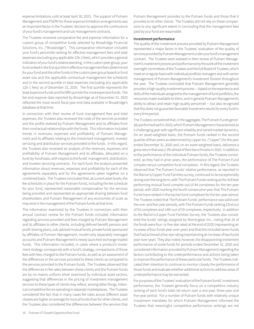expense limitations until at least April 30, 2023. The support of Putnam Management and PSERV for these expense limitation arrangements was an important factor in the Trustees' decision to approve the continuance of your fund's management and sub-management contracts.

The Trustees reviewed comparative fee and expense information for a custom group of competitive funds selected by Broadridge Financial Solutions, Inc. ("Broadridge"). This comparative information included your fund's percentile ranking for effective management fees and total expenses (excluding any applicable 12b-1 fees), which provides a general indication of your fund's relative standing. In the custom peer group, your fund ranked in the first quintile in effective management fees (determined for your fund and the other funds in the custom peer group based on fund asset size and the applicable contractual management fee schedule) and in the second quintile in total expenses (excluding any applicable 12b-1 fees) as of December 31, 2020. The first quintile represents the least expensive funds and the fifth quintile the most expensive funds. The fee and expense data reported by Broadridge as of December 31, 2020 reflected the most recent fiscal year-end data available in Broadridge's database at that time.

In connection with their review of fund management fees and total expenses, the Trustees also reviewed the costs of the services provided and the profits realized by Putnam Management and its affiliates from their contractual relationships with the funds. This information included trends in revenues, expenses and profitability of Putnam Management and its affiliates relating to the investment management, investor servicing and distribution services provided to the funds. In this regard, the Trustees also reviewed an analysis of the revenues, expenses and profitability of Putnam Management and its affiliates, allocated on a fund-by-fund basis, with respect to the funds' management, distribution, and investor servicing contracts. For each fund, the analysis presented information about revenues, expenses and profitability for each of the agreements separately and for the agreements taken together on a combined basis. The Trustees concluded that, at current asset levels, the fee schedules in place for the Putnam funds, including the fee schedule for your fund, represented reasonable compensation for the services being provided and represented an appropriate sharing between fund shareholders and Putnam Management of any economies of scale as may exist in the management of the Putnam funds at that time.

The information examined by the Trustees in connection with their annual contract review for the Putnam funds included information regarding services provided and fees charged by Putnam Management and its affiliates to other clients, including defined benefit pension and profit-sharing plans, sub-advised mutual funds, private funds sponsored by affiliates of Putnam Management, model-only separately managed accounts and Putnam Management's newly launched exchange-traded funds. This information included, in cases where a product's investment strategy corresponds with a fund's strategy, comparisons of those fees with fees charged to the Putnam funds, as well as an assessment of the differences in the services provided to these clients as compared to the services provided to the Putnam funds. The Trustees observed that the differences in fee rates between these clients and the Putnam funds are by no means uniform when examined by individual asset sectors, suggesting that differences in the pricing of investment management services to these types of clients may reflect, among other things, historical competitive forces operating in separate marketplaces. The Trustees considered the fact that in many cases fee rates across different asset classes are higher on average for mutual funds than for other clients, and the Trustees also considered the differences between the services that Putnam Management provides to the Putnam funds and those that it provides to its other clients. The Trustees did not rely on these comparisons to any significant extent in concluding that the management fees paid by your fund are reasonable.

#### **Investment performance**

The quality of the investment process provided by Putnam Management represented a major factor in the Trustees' evaluation of the quality of services provided by Putnam Management under your fund's management contract. The Trustees were assisted in their review of Putnam Management's investment process and performance by the work of the investment oversight committees of the Trustees and the full Board of Trustees, which meet on a regular basis with individual portfolio managers and with senior management of Putnam Management's Investment Division throughout the year. The Trustees concluded that Putnam Management generally provides a high-quality investment process — based on the experience and skills of the individuals assigned to the management of fund portfolios, the resources made available to them, and in general Putnam Management's ability to attract and retain high-quality personnel — but also recognized that this does not guarantee favorable investment results for every fund in every time period.

The Trustees considered that, in the aggregate, The Putnam Funds generally performed well in 2020, which Putnam Management characterized as a challenging year with significant volatility and varied market dynamics. On an asset-weighted basis, the Putnam funds ranked in the second quartile of their peers as determined by Lipper Inc. ("Lipper") for the year ended December 31, 2020 and, on an asset-weighted-basis, delivered a gross return that was 2.3% ahead of their benchmarks in 2020. In addition to the performance of the individual Putnam funds, the Trustees considered, as they had in prior years, the performance of The Putnam Fund complex versus competitor fund complexes. In this regard, the Trustees observed that The Putnam Funds' relative performance, as reported in the Barron's/Lipper Fund Families survey, continued to be exceptionally strong over the long term, with The Putnam Funds ranking as the 3rd best performing mutual fund complex out of 44 complexes for the ten-year period, with 2020 marking the fourth consecutive year that The Putnam Funds have ranked in the top ten fund complexes for the ten-year period. The Trustees noted that The Putnam Funds' performance was solid over the one- and five-year periods, with The Putnam Funds ranking 22nd out of 53 complexes and 14th out of 50 complexes, respectively. In addition to the Barron's/Lipper Fund Families Survey, the Trustees also considered the funds' ratings assigned by Morningstar Inc., noting that 26 of the funds were four- or five-star rated at the end of 2020 (representing an increase of four funds year-over-year) and that this included seven funds that had achieved a five-star rating (representing an increase of two funds year-over-year). They also noted, however, the disappointing investment performance of some funds for periods ended December 31, 2020 and considered information provided by Putnam Management regarding the factors contributing to the underperformance and actions being taken to improve the performance of these particular funds. The Trustees indicated their intention to continue to monitor closely the performance of those funds and evaluate whether additional actions to address areas of underperformance may be warranted.

For purposes of the Trustees' evaluation of the Putnam funds' investment performance, the Trustees generally focus on a competitive industry ranking of each fund's total net return over a one-year, three-year and five-year period. For a number of Putnam funds with relatively unique investment mandates for which Putnam Management informed the Trustees that meaningful competitive performance rankings are not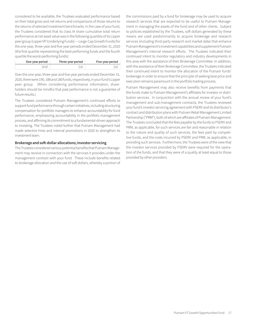considered to be available, the Trustees evaluated performance based on their total gross and net returns and comparisons of those returns to the returns of selected investment benchmarks. In the case of your fund, the Trustees considered that its class IA share cumulative total return performance at net asset value was in the following quartiles of its Lipper peer group (Lipper VP (Underlying Funds) — Large-Cap Growth Funds) for the one-year, three-year and five-year periods ended December 31, 2020 (the first quartile representing the best-performing funds and the fourth quartile the worst-performing funds):

| One-year period | Three-year period | Five-year period |
|-----------------|-------------------|------------------|
|                 |                   |                  |

Over the one-year, three-year and five-year periods ended December 31, 2020, there were 190, 188 and 180 funds, respectively, in your fund's Lipper peer group. (When considering performance information, shareholders should be mindful that past performance is not a guarantee of future results.)

The Trustees considered Putnam Management's continued efforts to support fund performance through certain initiatives, including structuring compensation for portfolio managers to enhance accountability for fund performance, emphasizing accountability in the portfolio management process, and affirming its commitment to a fundamental-driven approach to investing. The Trustees noted further that Putnam Management had made selective hires and internal promotions in 2020 to strengthen its investment team.

#### **Brokerage and soft-dollar allocations; investor servicing**

The Trustees considered various potential benefits that Putnam Management may receive in connection with the services it provides under the management contract with your fund. These include benefits related to brokerage allocation and the use of soft dollars, whereby a portion of the commissions paid by a fund for brokerage may be used to acquire research services that are expected to be useful to Putnam Management in managing the assets of the fund and of other clients. Subject to policies established by the Trustees, soft dollars generated by these means are used predominantly to acquire brokerage and research services (including third-party research and market data) that enhance Putnam Management's investment capabilities and supplement Putnam Management's internal research efforts. The Trustees indicated their continued intent to monitor regulatory and industry developments in this area with the assistance of their Brokerage Committee. In addition, with the assistance of their Brokerage Committee, the Trustees indicated their continued intent to monitor the allocation of the Putnam funds' brokerage in order to ensure that the principle of seeking best price and execution remains paramount in the portfolio trading process.

Putnam Management may also receive benefits from payments that the funds make to Putnam Management's affiliates for investor or distribution services. In conjunction with the annual review of your fund's management and sub-management contracts, the Trustees reviewed your fund's investor servicing agreement with PSERV and its distributor's contract and distribution plans with Putnam Retail Management Limited Partnership ("PRM"), both of which are affiliates of Putnam Management. The Trustees concluded that the fees payable by the funds to PSERV and PRM, as applicable, for such services are fair and reasonable in relation to the nature and quality of such services, the fees paid by competitive funds, and the costs incurred by PSERV and PRM, as applicable, in providing such services. Furthermore, the Trustees were of the view that the investor services provided by PSERV were required for the operation of the funds, and that they were of a quality at least equal to those provided by other providers.